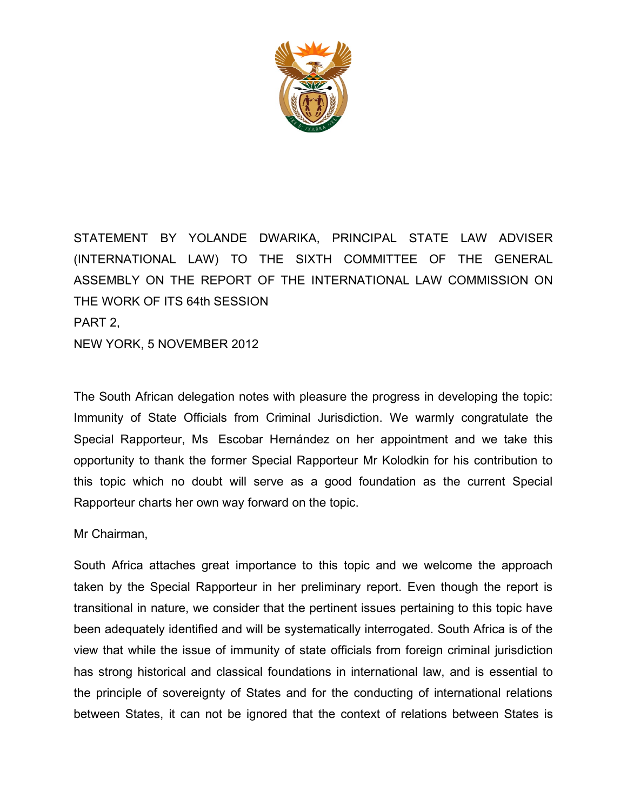

STATEMENT BY YOLANDE DWARIKA, PRINCIPAL STATE LAW ADVISER (INTERNATIONAL LAW) TO THE SIXTH COMMITTEE OF THE GENERAL ASSEMBLY ON THE REPORT OF THE INTERNATIONAL LAW COMMISSION ON THE WORK OF ITS 64th SESSION PART 2, NEW YORK, 5 NOVEMBER 2012

The South African delegation notes with pleasure the progress in developing the topic: Immunity of State Officials from Criminal Jurisdiction. We warmly congratulate the Special Rapporteur, Ms Escobar Hernández on her appointment and we take this opportunity to thank the former Special Rapporteur Mr Kolodkin for his contribution to this topic which no doubt will serve as a good foundation as the current Special Rapporteur charts her own way forward on the topic.

Mr Chairman,

South Africa attaches great importance to this topic and we welcome the approach taken by the Special Rapporteur in her preliminary report. Even though the report is transitional in nature, we consider that the pertinent issues pertaining to this topic have been adequately identified and will be systematically interrogated. South Africa is of the view that while the issue of immunity of state officials from foreign criminal jurisdiction has strong historical and classical foundations in international law, and is essential to the principle of sovereignty of States and for the conducting of international relations between States, it can not be ignored that the context of relations between States is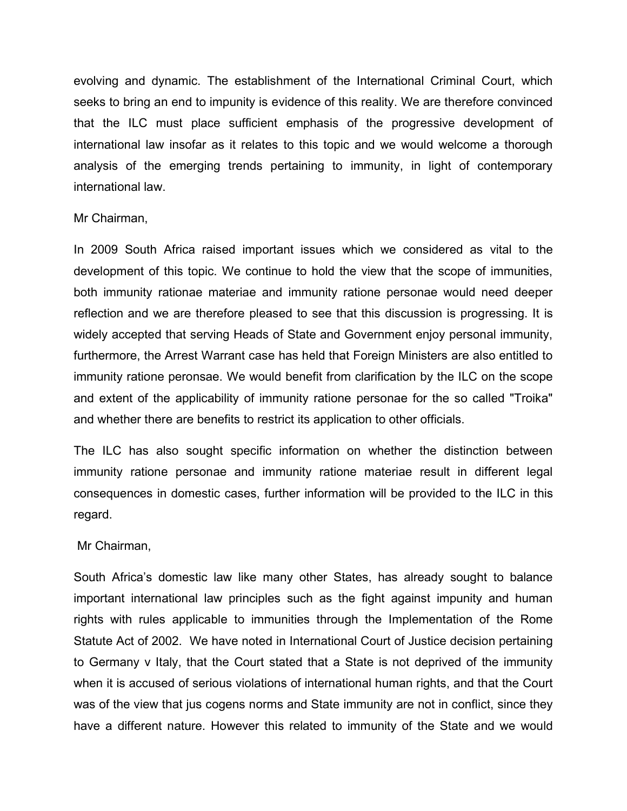evolving and dynamic. The establishment of the International Criminal Court, which seeks to bring an end to impunity is evidence of this reality. We are therefore convinced that the ILC must place sufficient emphasis of the progressive development of international law insofar as it relates to this topic and we would welcome a thorough analysis of the emerging trends pertaining to immunity, in light of contemporary international law.

#### Mr Chairman,

In 2009 South Africa raised important issues which we considered as vital to the development of this topic. We continue to hold the view that the scope of immunities, both immunity rationae materiae and immunity ratione personae would need deeper reflection and we are therefore pleased to see that this discussion is progressing. It is widely accepted that serving Heads of State and Government enjoy personal immunity, furthermore, the Arrest Warrant case has held that Foreign Ministers are also entitled to immunity ratione peronsae. We would benefit from clarification by the ILC on the scope and extent of the applicability of immunity ratione personae for the so called "Troika" and whether there are benefits to restrict its application to other officials.

The ILC has also sought specific information on whether the distinction between immunity ratione personae and immunity ratione materiae result in different legal consequences in domestic cases, further information will be provided to the ILC in this regard.

### Mr Chairman,

South Africa's domestic law like many other States, has already sought to balance important international law principles such as the fight against impunity and human rights with rules applicable to immunities through the Implementation of the Rome Statute Act of 2002. We have noted in International Court of Justice decision pertaining to Germany v Italy, that the Court stated that a State is not deprived of the immunity when it is accused of serious violations of international human rights, and that the Court was of the view that jus cogens norms and State immunity are not in conflict, since they have a different nature. However this related to immunity of the State and we would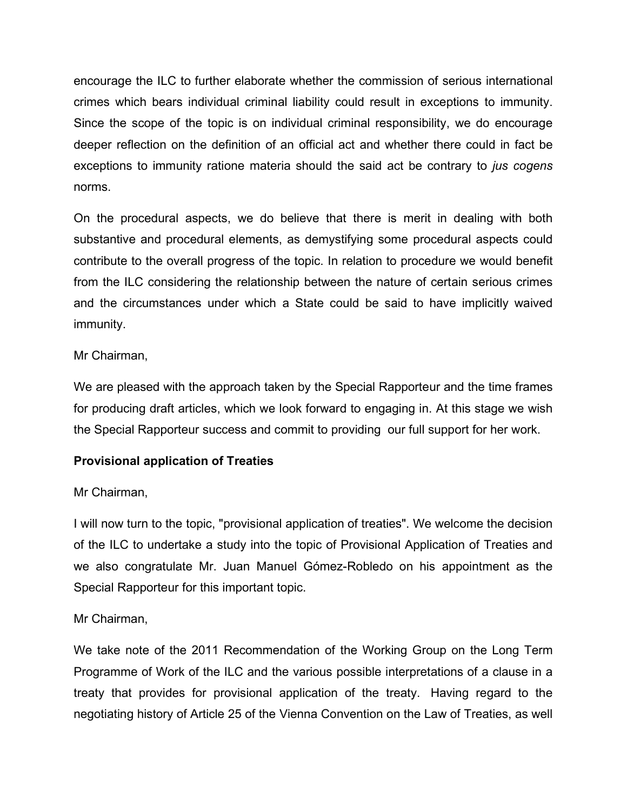encourage the ILC to further elaborate whether the commission of serious international crimes which bears individual criminal liability could result in exceptions to immunity. Since the scope of the topic is on individual criminal responsibility, we do encourage deeper reflection on the definition of an official act and whether there could in fact be exceptions to immunity ratione materia should the said act be contrary to *jus cogens* norms.

On the procedural aspects, we do believe that there is merit in dealing with both substantive and procedural elements, as demystifying some procedural aspects could contribute to the overall progress of the topic. In relation to procedure we would benefit from the ILC considering the relationship between the nature of certain serious crimes and the circumstances under which a State could be said to have implicitly waived immunity.

## Mr Chairman,

We are pleased with the approach taken by the Special Rapporteur and the time frames for producing draft articles, which we look forward to engaging in. At this stage we wish the Special Rapporteur success and commit to providing our full support for her work.

# **Provisional application of Treaties**

## Mr Chairman,

I will now turn to the topic, "provisional application of treaties". We welcome the decision of the ILC to undertake a study into the topic of Provisional Application of Treaties and we also congratulate Mr. Juan Manuel Gómez-Robledo on his appointment as the Special Rapporteur for this important topic.

# Mr Chairman,

We take note of the 2011 Recommendation of the Working Group on the Long Term Programme of Work of the ILC and the various possible interpretations of a clause in a treaty that provides for provisional application of the treaty. Having regard to the negotiating history of Article 25 of the Vienna Convention on the Law of Treaties, as well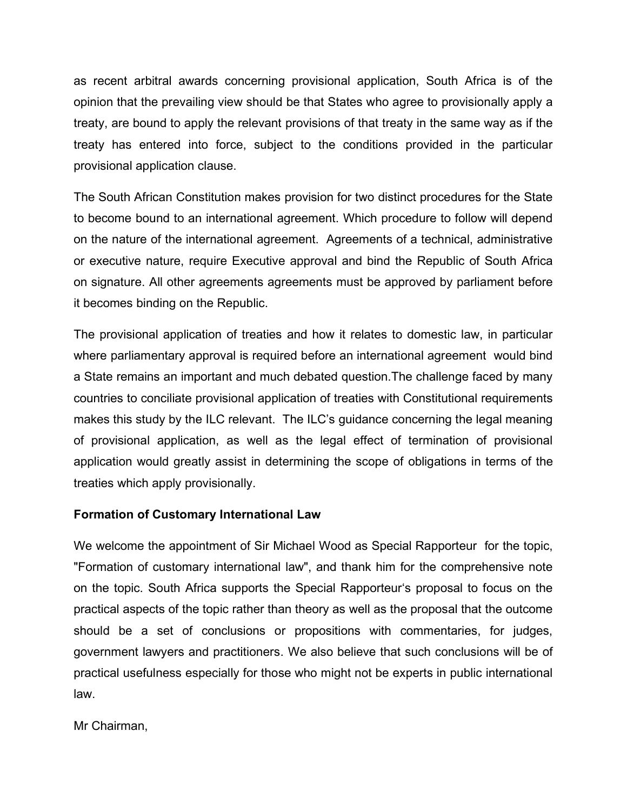as recent arbitral awards concerning provisional application, South Africa is of the opinion that the prevailing view should be that States who agree to provisionally apply a treaty, are bound to apply the relevant provisions of that treaty in the same way as if the treaty has entered into force, subject to the conditions provided in the particular provisional application clause.

The South African Constitution makes provision for two distinct procedures for the State to become bound to an international agreement. Which procedure to follow will depend on the nature of the international agreement. Agreements of a technical, administrative or executive nature, require Executive approval and bind the Republic of South Africa on signature. All other agreements agreements must be approved by parliament before it becomes binding on the Republic.

The provisional application of treaties and how it relates to domestic law, in particular where parliamentary approval is required before an international agreement would bind a State remains an important and much debated question.The challenge faced by many countries to conciliate provisional application of treaties with Constitutional requirements makes this study by the ILC relevant. The ILC's guidance concerning the legal meaning of provisional application, as well as the legal effect of termination of provisional application would greatly assist in determining the scope of obligations in terms of the treaties which apply provisionally.

# **Formation of Customary International Law**

We welcome the appointment of Sir Michael Wood as Special Rapporteur for the topic, "Formation of customary international law", and thank him for the comprehensive note on the topic. South Africa supports the Special Rapporteur's proposal to focus on the practical aspects of the topic rather than theory as well as the proposal that the outcome should be a set of conclusions or propositions with commentaries, for judges, government lawyers and practitioners. We also believe that such conclusions will be of practical usefulness especially for those who might not be experts in public international law.

Mr Chairman,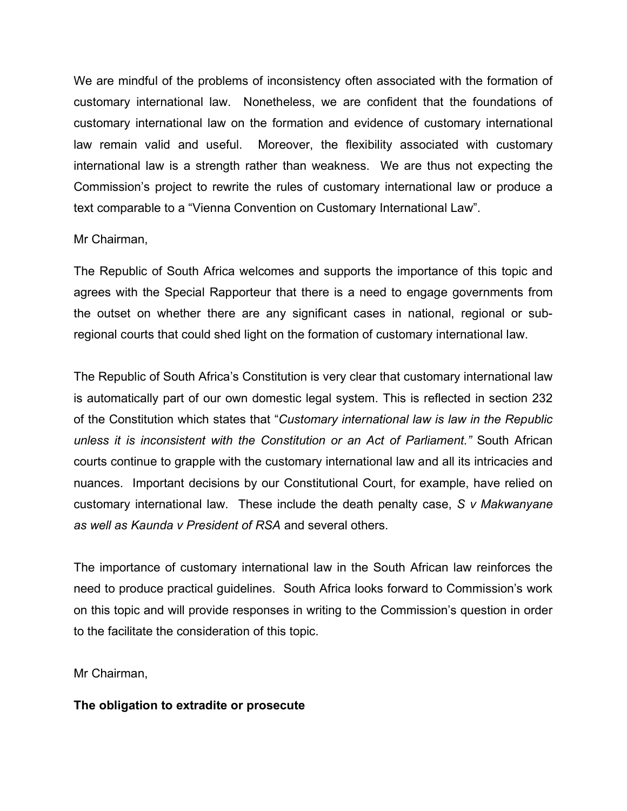We are mindful of the problems of inconsistency often associated with the formation of customary international law. Nonetheless, we are confident that the foundations of customary international law on the formation and evidence of customary international law remain valid and useful. Moreover, the flexibility associated with customary international law is a strength rather than weakness. We are thus not expecting the Commission's project to rewrite the rules of customary international law or produce a text comparable to a "Vienna Convention on Customary International Law".

### Mr Chairman,

The Republic of South Africa welcomes and supports the importance of this topic and agrees with the Special Rapporteur that there is a need to engage governments from the outset on whether there are any significant cases in national, regional or subregional courts that could shed light on the formation of customary international law.

The Republic of South Africa's Constitution is very clear that customary international law is automatically part of our own domestic legal system. This is reflected in section 232 of the Constitution which states that "*Customary international law is law in the Republic unless it is inconsistent with the Constitution or an Act of Parliament."* South African courts continue to grapple with the customary international law and all its intricacies and nuances. Important decisions by our Constitutional Court, for example, have relied on customary international law. These include the death penalty case, *S v Makwanyane as well as Kaunda v President of RSA* and several others.

The importance of customary international law in the South African law reinforces the need to produce practical guidelines. South Africa looks forward to Commission's work on this topic and will provide responses in writing to the Commission's question in order to the facilitate the consideration of this topic.

Mr Chairman,

## **The obligation to extradite or prosecute**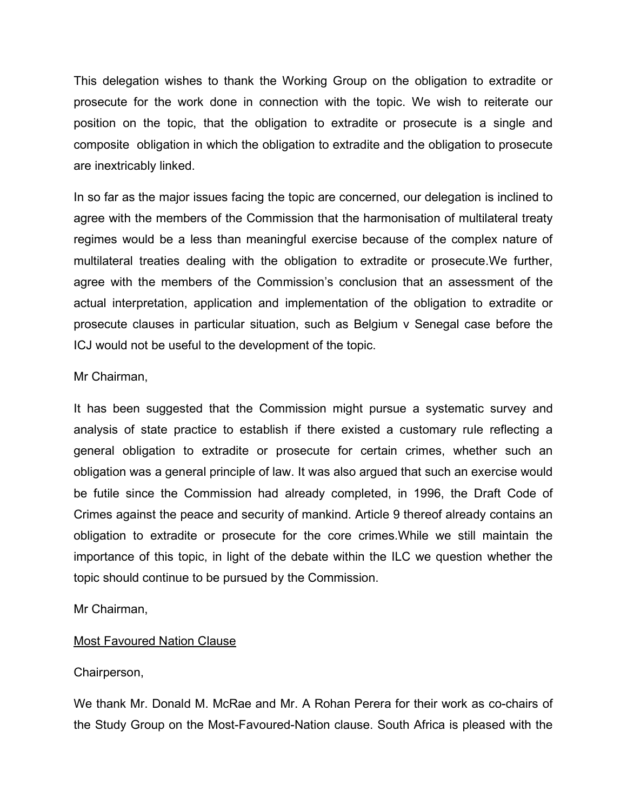This delegation wishes to thank the Working Group on the obligation to extradite or prosecute for the work done in connection with the topic. We wish to reiterate our position on the topic, that the obligation to extradite or prosecute is a single and composite obligation in which the obligation to extradite and the obligation to prosecute are inextricably linked.

In so far as the major issues facing the topic are concerned, our delegation is inclined to agree with the members of the Commission that the harmonisation of multilateral treaty regimes would be a less than meaningful exercise because of the complex nature of multilateral treaties dealing with the obligation to extradite or prosecute.We further, agree with the members of the Commission's conclusion that an assessment of the actual interpretation, application and implementation of the obligation to extradite or prosecute clauses in particular situation, such as Belgium v Senegal case before the ICJ would not be useful to the development of the topic.

### Mr Chairman,

It has been suggested that the Commission might pursue a systematic survey and analysis of state practice to establish if there existed a customary rule reflecting a general obligation to extradite or prosecute for certain crimes, whether such an obligation was a general principle of law. It was also argued that such an exercise would be futile since the Commission had already completed, in 1996, the Draft Code of Crimes against the peace and security of mankind. Article 9 thereof already contains an obligation to extradite or prosecute for the core crimes.While we still maintain the importance of this topic, in light of the debate within the ILC we question whether the topic should continue to be pursued by the Commission.

Mr Chairman,

## Most Favoured Nation Clause

## Chairperson,

We thank Mr. Donald M. McRae and Mr. A Rohan Perera for their work as co-chairs of the Study Group on the Most-Favoured-Nation clause. South Africa is pleased with the